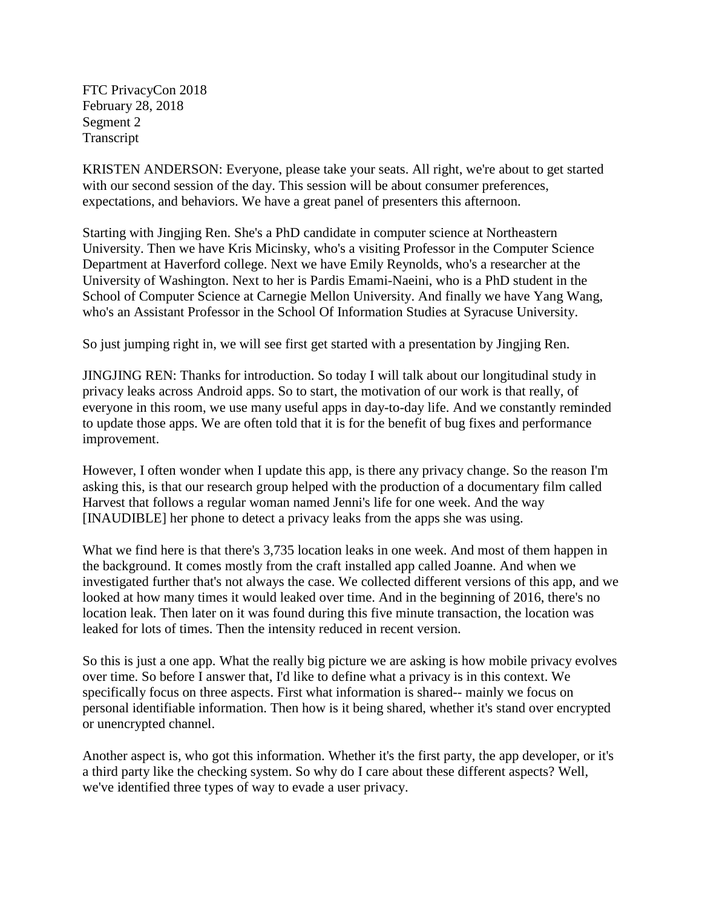FTC PrivacyCon 2018 February 28, 2018 Segment 2 Transcript

KRISTEN ANDERSON: Everyone, please take your seats. All right, we're about to get started with our second session of the day. This session will be about consumer preferences, expectations, and behaviors. We have a great panel of presenters this afternoon.

Starting with Jingjing Ren. She's a PhD candidate in computer science at Northeastern University. Then we have Kris Micinsky, who's a visiting Professor in the Computer Science Department at Haverford college. Next we have Emily Reynolds, who's a researcher at the University of Washington. Next to her is Pardis Emami-Naeini, who is a PhD student in the School of Computer Science at Carnegie Mellon University. And finally we have Yang Wang, who's an Assistant Professor in the School Of Information Studies at Syracuse University.

So just jumping right in, we will see first get started with a presentation by Jingjing Ren.

JINGJING REN: Thanks for introduction. So today I will talk about our longitudinal study in privacy leaks across Android apps. So to start, the motivation of our work is that really, of everyone in this room, we use many useful apps in day-to-day life. And we constantly reminded to update those apps. We are often told that it is for the benefit of bug fixes and performance improvement.

However, I often wonder when I update this app, is there any privacy change. So the reason I'm asking this, is that our research group helped with the production of a documentary film called Harvest that follows a regular woman named Jenni's life for one week. And the way [INAUDIBLE] her phone to detect a privacy leaks from the apps she was using.

What we find here is that there's 3,735 location leaks in one week. And most of them happen in the background. It comes mostly from the craft installed app called Joanne. And when we investigated further that's not always the case. We collected different versions of this app, and we looked at how many times it would leaked over time. And in the beginning of 2016, there's no location leak. Then later on it was found during this five minute transaction, the location was leaked for lots of times. Then the intensity reduced in recent version.

So this is just a one app. What the really big picture we are asking is how mobile privacy evolves over time. So before I answer that, I'd like to define what a privacy is in this context. We specifically focus on three aspects. First what information is shared-- mainly we focus on personal identifiable information. Then how is it being shared, whether it's stand over encrypted or unencrypted channel.

Another aspect is, who got this information. Whether it's the first party, the app developer, or it's a third party like the checking system. So why do I care about these different aspects? Well, we've identified three types of way to evade a user privacy.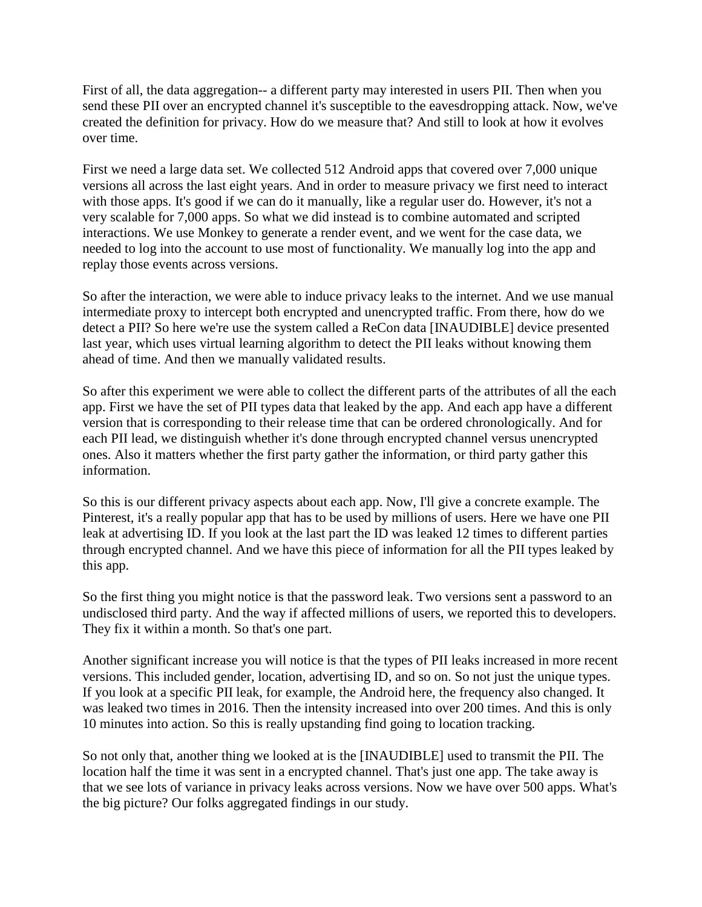First of all, the data aggregation-- a different party may interested in users PII. Then when you send these PII over an encrypted channel it's susceptible to the eavesdropping attack. Now, we've created the definition for privacy. How do we measure that? And still to look at how it evolves over time.

First we need a large data set. We collected 512 Android apps that covered over 7,000 unique versions all across the last eight years. And in order to measure privacy we first need to interact with those apps. It's good if we can do it manually, like a regular user do. However, it's not a very scalable for 7,000 apps. So what we did instead is to combine automated and scripted interactions. We use Monkey to generate a render event, and we went for the case data, we needed to log into the account to use most of functionality. We manually log into the app and replay those events across versions.

So after the interaction, we were able to induce privacy leaks to the internet. And we use manual intermediate proxy to intercept both encrypted and unencrypted traffic. From there, how do we detect a PII? So here we're use the system called a ReCon data [INAUDIBLE] device presented last year, which uses virtual learning algorithm to detect the PII leaks without knowing them ahead of time. And then we manually validated results.

So after this experiment we were able to collect the different parts of the attributes of all the each app. First we have the set of PII types data that leaked by the app. And each app have a different version that is corresponding to their release time that can be ordered chronologically. And for each PII lead, we distinguish whether it's done through encrypted channel versus unencrypted ones. Also it matters whether the first party gather the information, or third party gather this information.

So this is our different privacy aspects about each app. Now, I'll give a concrete example. The Pinterest, it's a really popular app that has to be used by millions of users. Here we have one PII leak at advertising ID. If you look at the last part the ID was leaked 12 times to different parties through encrypted channel. And we have this piece of information for all the PII types leaked by this app.

So the first thing you might notice is that the password leak. Two versions sent a password to an undisclosed third party. And the way if affected millions of users, we reported this to developers. They fix it within a month. So that's one part.

Another significant increase you will notice is that the types of PII leaks increased in more recent versions. This included gender, location, advertising ID, and so on. So not just the unique types. If you look at a specific PII leak, for example, the Android here, the frequency also changed. It was leaked two times in 2016. Then the intensity increased into over 200 times. And this is only 10 minutes into action. So this is really upstanding find going to location tracking.

So not only that, another thing we looked at is the [INAUDIBLE] used to transmit the PII. The location half the time it was sent in a encrypted channel. That's just one app. The take away is that we see lots of variance in privacy leaks across versions. Now we have over 500 apps. What's the big picture? Our folks aggregated findings in our study.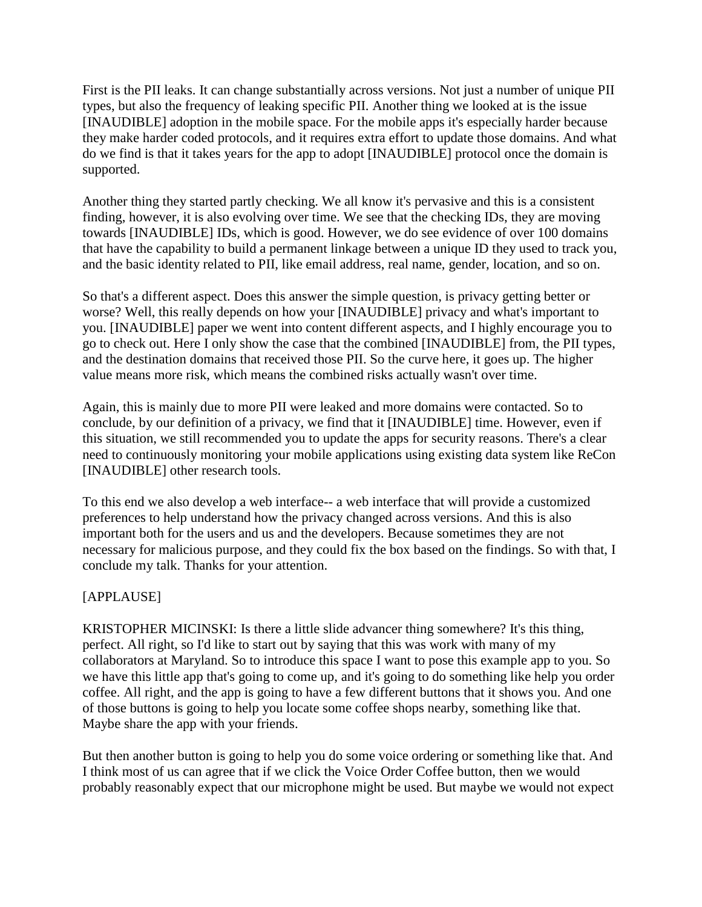First is the PII leaks. It can change substantially across versions. Not just a number of unique PII types, but also the frequency of leaking specific PII. Another thing we looked at is the issue [INAUDIBLE] adoption in the mobile space. For the mobile apps it's especially harder because they make harder coded protocols, and it requires extra effort to update those domains. And what do we find is that it takes years for the app to adopt [INAUDIBLE] protocol once the domain is supported.

Another thing they started partly checking. We all know it's pervasive and this is a consistent finding, however, it is also evolving over time. We see that the checking IDs, they are moving towards [INAUDIBLE] IDs, which is good. However, we do see evidence of over 100 domains that have the capability to build a permanent linkage between a unique ID they used to track you, and the basic identity related to PII, like email address, real name, gender, location, and so on.

So that's a different aspect. Does this answer the simple question, is privacy getting better or worse? Well, this really depends on how your [INAUDIBLE] privacy and what's important to you. [INAUDIBLE] paper we went into content different aspects, and I highly encourage you to go to check out. Here I only show the case that the combined [INAUDIBLE] from, the PII types, and the destination domains that received those PII. So the curve here, it goes up. The higher value means more risk, which means the combined risks actually wasn't over time.

Again, this is mainly due to more PII were leaked and more domains were contacted. So to conclude, by our definition of a privacy, we find that it [INAUDIBLE] time. However, even if this situation, we still recommended you to update the apps for security reasons. There's a clear need to continuously monitoring your mobile applications using existing data system like ReCon [INAUDIBLE] other research tools.

To this end we also develop a web interface-- a web interface that will provide a customized preferences to help understand how the privacy changed across versions. And this is also important both for the users and us and the developers. Because sometimes they are not necessary for malicious purpose, and they could fix the box based on the findings. So with that, I conclude my talk. Thanks for your attention.

# [APPLAUSE]

KRISTOPHER MICINSKI: Is there a little slide advancer thing somewhere? It's this thing, perfect. All right, so I'd like to start out by saying that this was work with many of my collaborators at Maryland. So to introduce this space I want to pose this example app to you. So we have this little app that's going to come up, and it's going to do something like help you order coffee. All right, and the app is going to have a few different buttons that it shows you. And one of those buttons is going to help you locate some coffee shops nearby, something like that. Maybe share the app with your friends.

But then another button is going to help you do some voice ordering or something like that. And I think most of us can agree that if we click the Voice Order Coffee button, then we would probably reasonably expect that our microphone might be used. But maybe we would not expect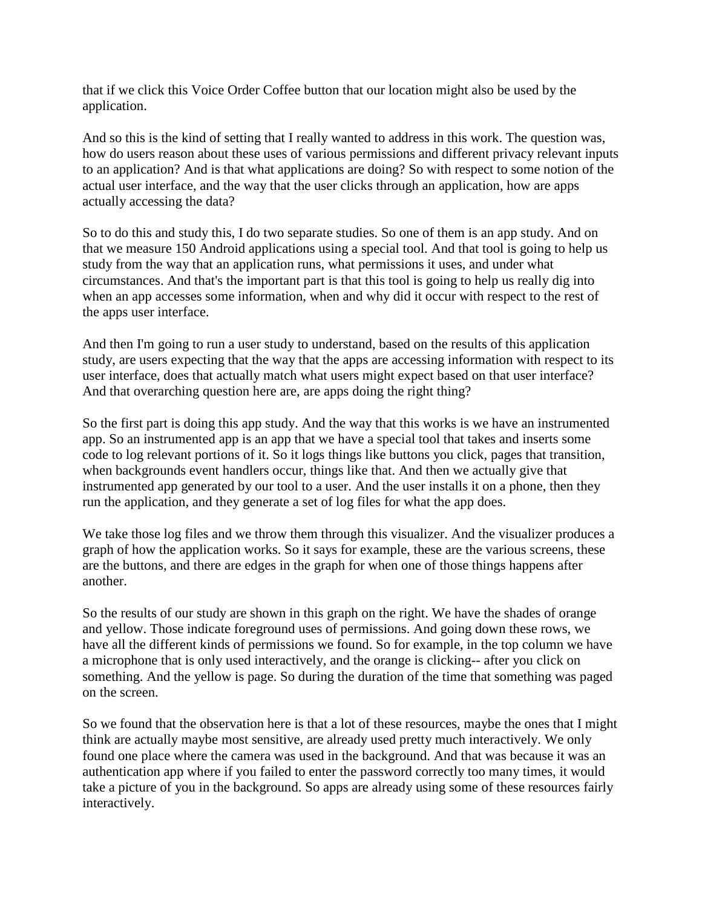that if we click this Voice Order Coffee button that our location might also be used by the application.

And so this is the kind of setting that I really wanted to address in this work. The question was, how do users reason about these uses of various permissions and different privacy relevant inputs to an application? And is that what applications are doing? So with respect to some notion of the actual user interface, and the way that the user clicks through an application, how are apps actually accessing the data?

So to do this and study this, I do two separate studies. So one of them is an app study. And on that we measure 150 Android applications using a special tool. And that tool is going to help us study from the way that an application runs, what permissions it uses, and under what circumstances. And that's the important part is that this tool is going to help us really dig into when an app accesses some information, when and why did it occur with respect to the rest of the apps user interface.

And then I'm going to run a user study to understand, based on the results of this application study, are users expecting that the way that the apps are accessing information with respect to its user interface, does that actually match what users might expect based on that user interface? And that overarching question here are, are apps doing the right thing?

So the first part is doing this app study. And the way that this works is we have an instrumented app. So an instrumented app is an app that we have a special tool that takes and inserts some code to log relevant portions of it. So it logs things like buttons you click, pages that transition, when backgrounds event handlers occur, things like that. And then we actually give that instrumented app generated by our tool to a user. And the user installs it on a phone, then they run the application, and they generate a set of log files for what the app does.

We take those log files and we throw them through this visualizer. And the visualizer produces a graph of how the application works. So it says for example, these are the various screens, these are the buttons, and there are edges in the graph for when one of those things happens after another.

So the results of our study are shown in this graph on the right. We have the shades of orange and yellow. Those indicate foreground uses of permissions. And going down these rows, we have all the different kinds of permissions we found. So for example, in the top column we have a microphone that is only used interactively, and the orange is clicking-- after you click on something. And the yellow is page. So during the duration of the time that something was paged on the screen.

So we found that the observation here is that a lot of these resources, maybe the ones that I might think are actually maybe most sensitive, are already used pretty much interactively. We only found one place where the camera was used in the background. And that was because it was an authentication app where if you failed to enter the password correctly too many times, it would take a picture of you in the background. So apps are already using some of these resources fairly interactively.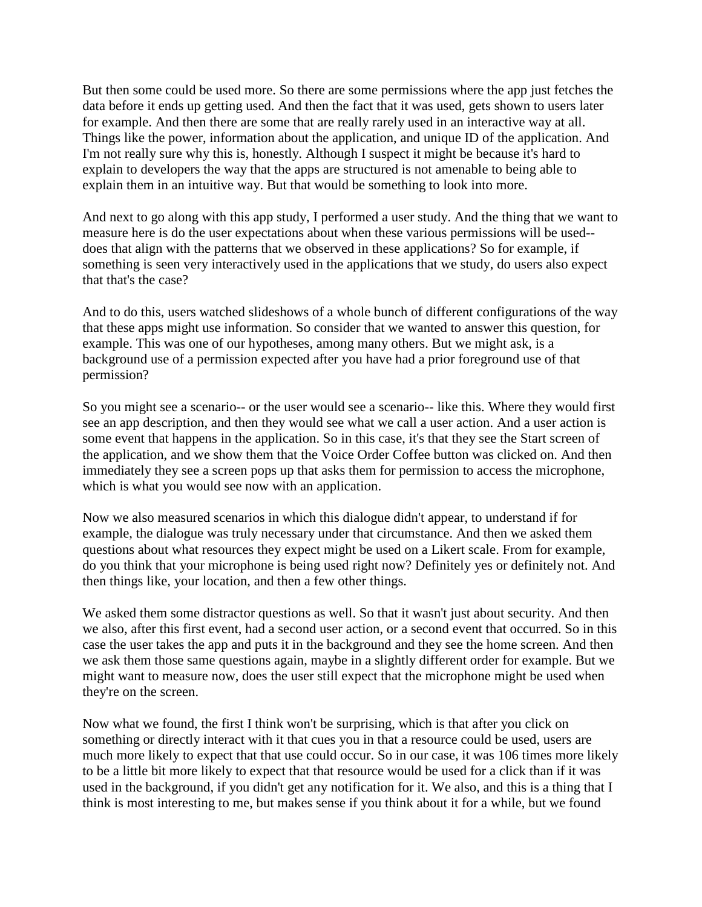But then some could be used more. So there are some permissions where the app just fetches the data before it ends up getting used. And then the fact that it was used, gets shown to users later for example. And then there are some that are really rarely used in an interactive way at all. Things like the power, information about the application, and unique ID of the application. And I'm not really sure why this is, honestly. Although I suspect it might be because it's hard to explain to developers the way that the apps are structured is not amenable to being able to explain them in an intuitive way. But that would be something to look into more.

And next to go along with this app study, I performed a user study. And the thing that we want to measure here is do the user expectations about when these various permissions will be used- does that align with the patterns that we observed in these applications? So for example, if something is seen very interactively used in the applications that we study, do users also expect that that's the case?

And to do this, users watched slideshows of a whole bunch of different configurations of the way that these apps might use information. So consider that we wanted to answer this question, for example. This was one of our hypotheses, among many others. But we might ask, is a background use of a permission expected after you have had a prior foreground use of that permission?

So you might see a scenario-- or the user would see a scenario-- like this. Where they would first see an app description, and then they would see what we call a user action. And a user action is some event that happens in the application. So in this case, it's that they see the Start screen of the application, and we show them that the Voice Order Coffee button was clicked on. And then immediately they see a screen pops up that asks them for permission to access the microphone, which is what you would see now with an application.

Now we also measured scenarios in which this dialogue didn't appear, to understand if for example, the dialogue was truly necessary under that circumstance. And then we asked them questions about what resources they expect might be used on a Likert scale. From for example, do you think that your microphone is being used right now? Definitely yes or definitely not. And then things like, your location, and then a few other things.

We asked them some distractor questions as well. So that it wasn't just about security. And then we also, after this first event, had a second user action, or a second event that occurred. So in this case the user takes the app and puts it in the background and they see the home screen. And then we ask them those same questions again, maybe in a slightly different order for example. But we might want to measure now, does the user still expect that the microphone might be used when they're on the screen.

Now what we found, the first I think won't be surprising, which is that after you click on something or directly interact with it that cues you in that a resource could be used, users are much more likely to expect that that use could occur. So in our case, it was 106 times more likely to be a little bit more likely to expect that that resource would be used for a click than if it was used in the background, if you didn't get any notification for it. We also, and this is a thing that I think is most interesting to me, but makes sense if you think about it for a while, but we found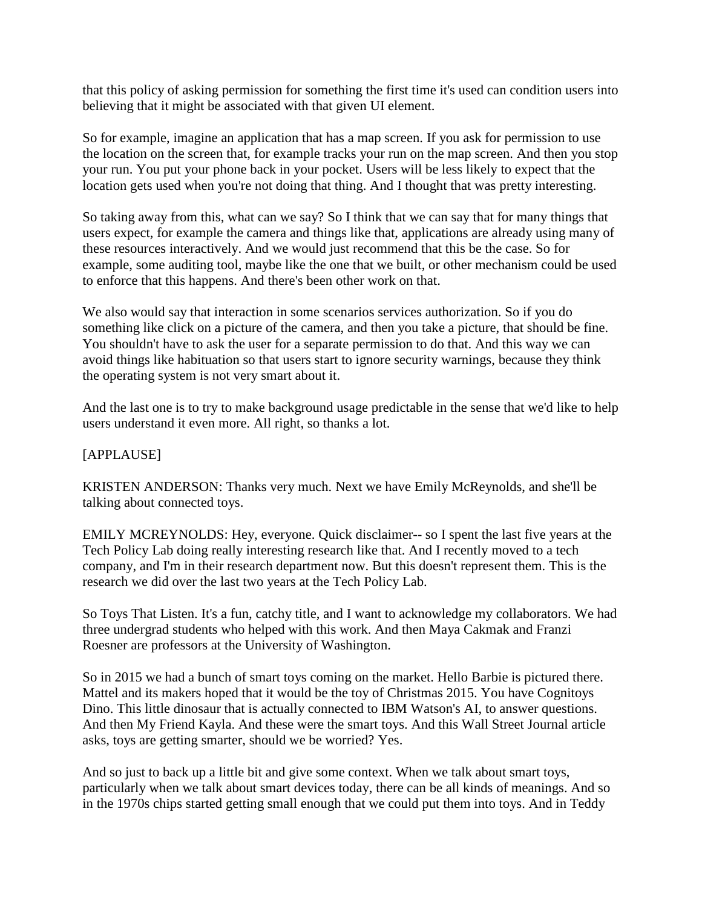that this policy of asking permission for something the first time it's used can condition users into believing that it might be associated with that given UI element.

So for example, imagine an application that has a map screen. If you ask for permission to use the location on the screen that, for example tracks your run on the map screen. And then you stop your run. You put your phone back in your pocket. Users will be less likely to expect that the location gets used when you're not doing that thing. And I thought that was pretty interesting.

So taking away from this, what can we say? So I think that we can say that for many things that users expect, for example the camera and things like that, applications are already using many of these resources interactively. And we would just recommend that this be the case. So for example, some auditing tool, maybe like the one that we built, or other mechanism could be used to enforce that this happens. And there's been other work on that.

We also would say that interaction in some scenarios services authorization. So if you do something like click on a picture of the camera, and then you take a picture, that should be fine. You shouldn't have to ask the user for a separate permission to do that. And this way we can avoid things like habituation so that users start to ignore security warnings, because they think the operating system is not very smart about it.

And the last one is to try to make background usage predictable in the sense that we'd like to help users understand it even more. All right, so thanks a lot.

### [APPLAUSE]

KRISTEN ANDERSON: Thanks very much. Next we have Emily McReynolds, and she'll be talking about connected toys.

EMILY MCREYNOLDS: Hey, everyone. Quick disclaimer-- so I spent the last five years at the Tech Policy Lab doing really interesting research like that. And I recently moved to a tech company, and I'm in their research department now. But this doesn't represent them. This is the research we did over the last two years at the Tech Policy Lab.

So Toys That Listen. It's a fun, catchy title, and I want to acknowledge my collaborators. We had three undergrad students who helped with this work. And then Maya Cakmak and Franzi Roesner are professors at the University of Washington.

So in 2015 we had a bunch of smart toys coming on the market. Hello Barbie is pictured there. Mattel and its makers hoped that it would be the toy of Christmas 2015. You have Cognitoys Dino. This little dinosaur that is actually connected to IBM Watson's AI, to answer questions. And then My Friend Kayla. And these were the smart toys. And this Wall Street Journal article asks, toys are getting smarter, should we be worried? Yes.

And so just to back up a little bit and give some context. When we talk about smart toys, particularly when we talk about smart devices today, there can be all kinds of meanings. And so in the 1970s chips started getting small enough that we could put them into toys. And in Teddy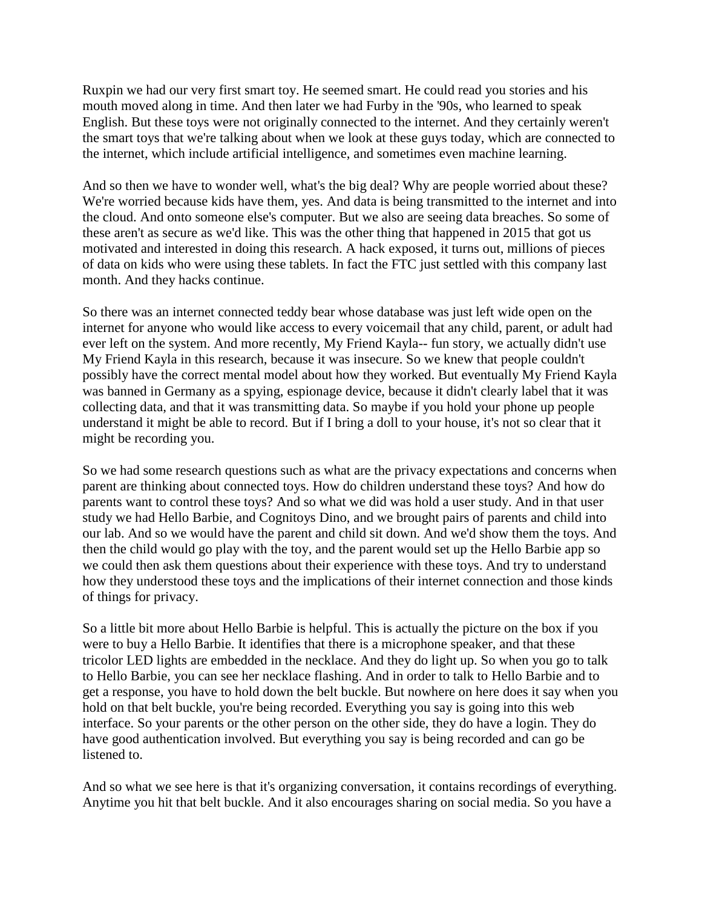Ruxpin we had our very first smart toy. He seemed smart. He could read you stories and his mouth moved along in time. And then later we had Furby in the '90s, who learned to speak English. But these toys were not originally connected to the internet. And they certainly weren't the smart toys that we're talking about when we look at these guys today, which are connected to the internet, which include artificial intelligence, and sometimes even machine learning.

And so then we have to wonder well, what's the big deal? Why are people worried about these? We're worried because kids have them, yes. And data is being transmitted to the internet and into the cloud. And onto someone else's computer. But we also are seeing data breaches. So some of these aren't as secure as we'd like. This was the other thing that happened in 2015 that got us motivated and interested in doing this research. A hack exposed, it turns out, millions of pieces of data on kids who were using these tablets. In fact the FTC just settled with this company last month. And they hacks continue.

So there was an internet connected teddy bear whose database was just left wide open on the internet for anyone who would like access to every voicemail that any child, parent, or adult had ever left on the system. And more recently, My Friend Kayla-- fun story, we actually didn't use My Friend Kayla in this research, because it was insecure. So we knew that people couldn't possibly have the correct mental model about how they worked. But eventually My Friend Kayla was banned in Germany as a spying, espionage device, because it didn't clearly label that it was collecting data, and that it was transmitting data. So maybe if you hold your phone up people understand it might be able to record. But if I bring a doll to your house, it's not so clear that it might be recording you.

So we had some research questions such as what are the privacy expectations and concerns when parent are thinking about connected toys. How do children understand these toys? And how do parents want to control these toys? And so what we did was hold a user study. And in that user study we had Hello Barbie, and Cognitoys Dino, and we brought pairs of parents and child into our lab. And so we would have the parent and child sit down. And we'd show them the toys. And then the child would go play with the toy, and the parent would set up the Hello Barbie app so we could then ask them questions about their experience with these toys. And try to understand how they understood these toys and the implications of their internet connection and those kinds of things for privacy.

So a little bit more about Hello Barbie is helpful. This is actually the picture on the box if you were to buy a Hello Barbie. It identifies that there is a microphone speaker, and that these tricolor LED lights are embedded in the necklace. And they do light up. So when you go to talk to Hello Barbie, you can see her necklace flashing. And in order to talk to Hello Barbie and to get a response, you have to hold down the belt buckle. But nowhere on here does it say when you hold on that belt buckle, you're being recorded. Everything you say is going into this web interface. So your parents or the other person on the other side, they do have a login. They do have good authentication involved. But everything you say is being recorded and can go be listened to.

And so what we see here is that it's organizing conversation, it contains recordings of everything. Anytime you hit that belt buckle. And it also encourages sharing on social media. So you have a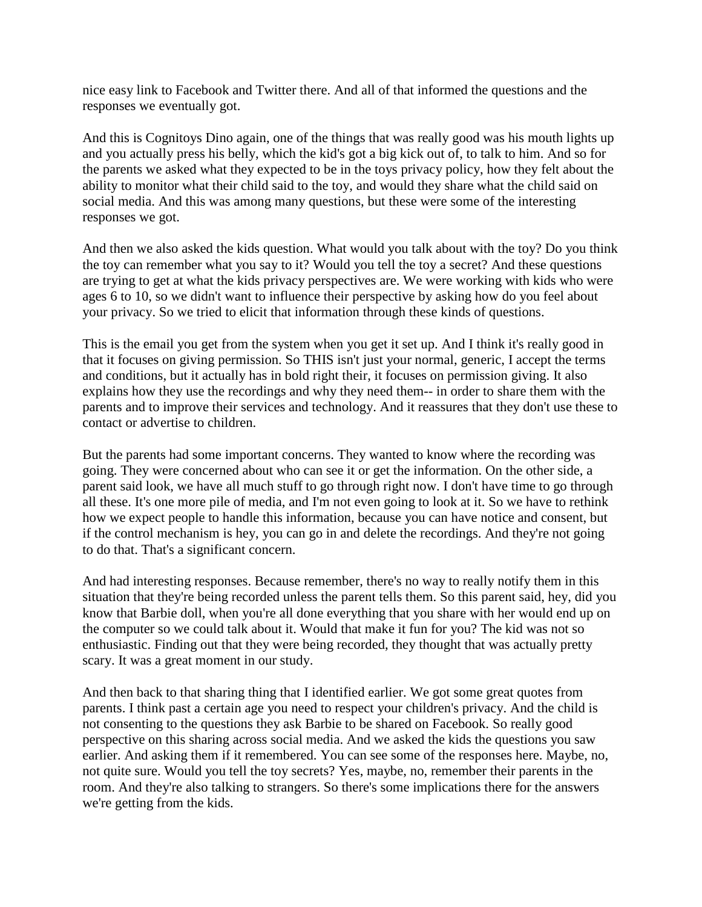nice easy link to Facebook and Twitter there. And all of that informed the questions and the responses we eventually got.

And this is Cognitoys Dino again, one of the things that was really good was his mouth lights up and you actually press his belly, which the kid's got a big kick out of, to talk to him. And so for the parents we asked what they expected to be in the toys privacy policy, how they felt about the ability to monitor what their child said to the toy, and would they share what the child said on social media. And this was among many questions, but these were some of the interesting responses we got.

And then we also asked the kids question. What would you talk about with the toy? Do you think the toy can remember what you say to it? Would you tell the toy a secret? And these questions are trying to get at what the kids privacy perspectives are. We were working with kids who were ages 6 to 10, so we didn't want to influence their perspective by asking how do you feel about your privacy. So we tried to elicit that information through these kinds of questions.

This is the email you get from the system when you get it set up. And I think it's really good in that it focuses on giving permission. So THIS isn't just your normal, generic, I accept the terms and conditions, but it actually has in bold right their, it focuses on permission giving. It also explains how they use the recordings and why they need them-- in order to share them with the parents and to improve their services and technology. And it reassures that they don't use these to contact or advertise to children.

But the parents had some important concerns. They wanted to know where the recording was going. They were concerned about who can see it or get the information. On the other side, a parent said look, we have all much stuff to go through right now. I don't have time to go through all these. It's one more pile of media, and I'm not even going to look at it. So we have to rethink how we expect people to handle this information, because you can have notice and consent, but if the control mechanism is hey, you can go in and delete the recordings. And they're not going to do that. That's a significant concern.

And had interesting responses. Because remember, there's no way to really notify them in this situation that they're being recorded unless the parent tells them. So this parent said, hey, did you know that Barbie doll, when you're all done everything that you share with her would end up on the computer so we could talk about it. Would that make it fun for you? The kid was not so enthusiastic. Finding out that they were being recorded, they thought that was actually pretty scary. It was a great moment in our study.

And then back to that sharing thing that I identified earlier. We got some great quotes from parents. I think past a certain age you need to respect your children's privacy. And the child is not consenting to the questions they ask Barbie to be shared on Facebook. So really good perspective on this sharing across social media. And we asked the kids the questions you saw earlier. And asking them if it remembered. You can see some of the responses here. Maybe, no, not quite sure. Would you tell the toy secrets? Yes, maybe, no, remember their parents in the room. And they're also talking to strangers. So there's some implications there for the answers we're getting from the kids.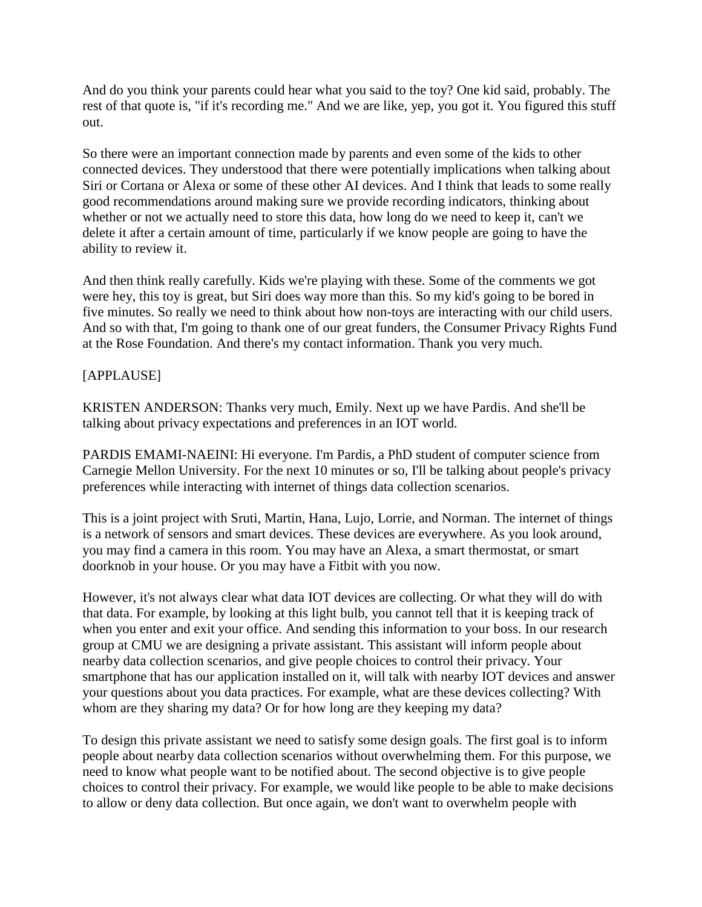And do you think your parents could hear what you said to the toy? One kid said, probably. The rest of that quote is, "if it's recording me." And we are like, yep, you got it. You figured this stuff out.

So there were an important connection made by parents and even some of the kids to other connected devices. They understood that there were potentially implications when talking about Siri or Cortana or Alexa or some of these other AI devices. And I think that leads to some really good recommendations around making sure we provide recording indicators, thinking about whether or not we actually need to store this data, how long do we need to keep it, can't we delete it after a certain amount of time, particularly if we know people are going to have the ability to review it.

And then think really carefully. Kids we're playing with these. Some of the comments we got were hey, this toy is great, but Siri does way more than this. So my kid's going to be bored in five minutes. So really we need to think about how non-toys are interacting with our child users. And so with that, I'm going to thank one of our great funders, the Consumer Privacy Rights Fund at the Rose Foundation. And there's my contact information. Thank you very much.

# [APPLAUSE]

KRISTEN ANDERSON: Thanks very much, Emily. Next up we have Pardis. And she'll be talking about privacy expectations and preferences in an IOT world.

PARDIS EMAMI-NAEINI: Hi everyone. I'm Pardis, a PhD student of computer science from Carnegie Mellon University. For the next 10 minutes or so, I'll be talking about people's privacy preferences while interacting with internet of things data collection scenarios.

This is a joint project with Sruti, Martin, Hana, Lujo, Lorrie, and Norman. The internet of things is a network of sensors and smart devices. These devices are everywhere. As you look around, you may find a camera in this room. You may have an Alexa, a smart thermostat, or smart doorknob in your house. Or you may have a Fitbit with you now.

However, it's not always clear what data IOT devices are collecting. Or what they will do with that data. For example, by looking at this light bulb, you cannot tell that it is keeping track of when you enter and exit your office. And sending this information to your boss. In our research group at CMU we are designing a private assistant. This assistant will inform people about nearby data collection scenarios, and give people choices to control their privacy. Your smartphone that has our application installed on it, will talk with nearby IOT devices and answer your questions about you data practices. For example, what are these devices collecting? With whom are they sharing my data? Or for how long are they keeping my data?

To design this private assistant we need to satisfy some design goals. The first goal is to inform people about nearby data collection scenarios without overwhelming them. For this purpose, we need to know what people want to be notified about. The second objective is to give people choices to control their privacy. For example, we would like people to be able to make decisions to allow or deny data collection. But once again, we don't want to overwhelm people with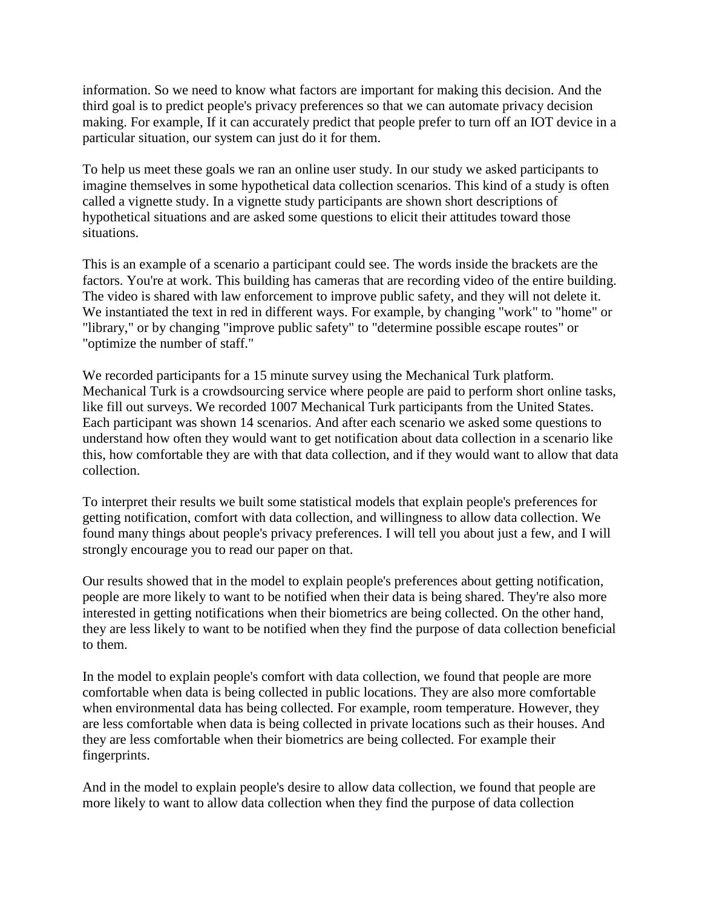information. So we need to know what factors are important for making this decision. And the third goal is to predict people's privacy preferences so that we can automate privacy decision making. For example, If it can accurately predict that people prefer to turn off an IOT device in a particular situation, our system can just do it for them.

To help us meet these goals we ran an online user study. In our study we asked participants to imagine themselves in some hypothetical data collection scenarios. This kind of a study is often called a vignette study. In a vignette study participants are shown short descriptions of hypothetical situations and are asked some questions to elicit their attitudes toward those situations.

This is an example of a scenario a participant could see. The words inside the brackets are the factors. You're at work. This building has cameras that are recording video of the entire building. The video is shared with law enforcement to improve public safety, and they will not delete it. We instantiated the text in red in different ways. For example, by changing "work" to "home" or "library," or by changing "improve public safety" to "determine possible escape routes" or "optimize the number of staff."

We recorded participants for a 15 minute survey using the Mechanical Turk platform. Mechanical Turk is a crowdsourcing service where people are paid to perform short online tasks, like fill out surveys. We recorded 1007 Mechanical Turk participants from the United States. Each participant was shown 14 scenarios. And after each scenario we asked some questions to understand how often they would want to get notification about data collection in a scenario like this, how comfortable they are with that data collection, and if they would want to allow that data collection.

To interpret their results we built some statistical models that explain people's preferences for getting notification, comfort with data collection, and willingness to allow data collection. We found many things about people's privacy preferences. I will tell you about just a few, and I will strongly encourage you to read our paper on that.

Our results showed that in the model to explain people's preferences about getting notification, people are more likely to want to be notified when their data is being shared. They're also more interested in getting notifications when their biometrics are being collected. On the other hand, they are less likely to want to be notified when they find the purpose of data collection beneficial to them.

In the model to explain people's comfort with data collection, we found that people are more comfortable when data is being collected in public locations. They are also more comfortable when environmental data has being collected. For example, room temperature. However, they are less comfortable when data is being collected in private locations such as their houses. And they are less comfortable when their biometrics are being collected. For example their fingerprints.

And in the model to explain people's desire to allow data collection, we found that people are more likely to want to allow data collection when they find the purpose of data collection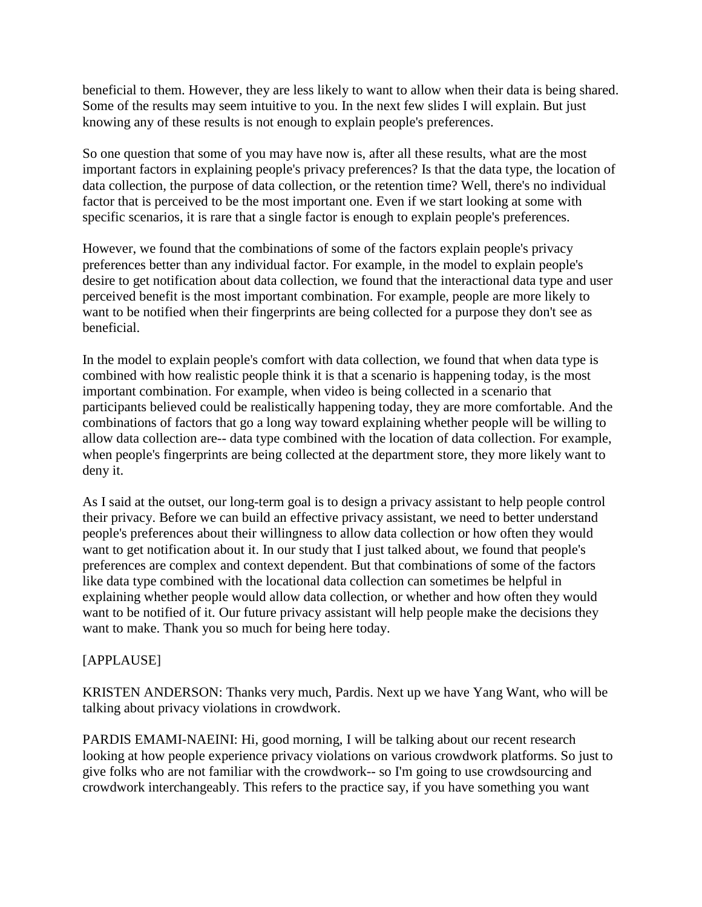beneficial to them. However, they are less likely to want to allow when their data is being shared. Some of the results may seem intuitive to you. In the next few slides I will explain. But just knowing any of these results is not enough to explain people's preferences.

So one question that some of you may have now is, after all these results, what are the most important factors in explaining people's privacy preferences? Is that the data type, the location of data collection, the purpose of data collection, or the retention time? Well, there's no individual factor that is perceived to be the most important one. Even if we start looking at some with specific scenarios, it is rare that a single factor is enough to explain people's preferences.

However, we found that the combinations of some of the factors explain people's privacy preferences better than any individual factor. For example, in the model to explain people's desire to get notification about data collection, we found that the interactional data type and user perceived benefit is the most important combination. For example, people are more likely to want to be notified when their fingerprints are being collected for a purpose they don't see as beneficial.

In the model to explain people's comfort with data collection, we found that when data type is combined with how realistic people think it is that a scenario is happening today, is the most important combination. For example, when video is being collected in a scenario that participants believed could be realistically happening today, they are more comfortable. And the combinations of factors that go a long way toward explaining whether people will be willing to allow data collection are-- data type combined with the location of data collection. For example, when people's fingerprints are being collected at the department store, they more likely want to deny it.

As I said at the outset, our long-term goal is to design a privacy assistant to help people control their privacy. Before we can build an effective privacy assistant, we need to better understand people's preferences about their willingness to allow data collection or how often they would want to get notification about it. In our study that I just talked about, we found that people's preferences are complex and context dependent. But that combinations of some of the factors like data type combined with the locational data collection can sometimes be helpful in explaining whether people would allow data collection, or whether and how often they would want to be notified of it. Our future privacy assistant will help people make the decisions they want to make. Thank you so much for being here today.

# [APPLAUSE]

KRISTEN ANDERSON: Thanks very much, Pardis. Next up we have Yang Want, who will be talking about privacy violations in crowdwork.

PARDIS EMAMI-NAEINI: Hi, good morning, I will be talking about our recent research looking at how people experience privacy violations on various crowdwork platforms. So just to give folks who are not familiar with the crowdwork-- so I'm going to use crowdsourcing and crowdwork interchangeably. This refers to the practice say, if you have something you want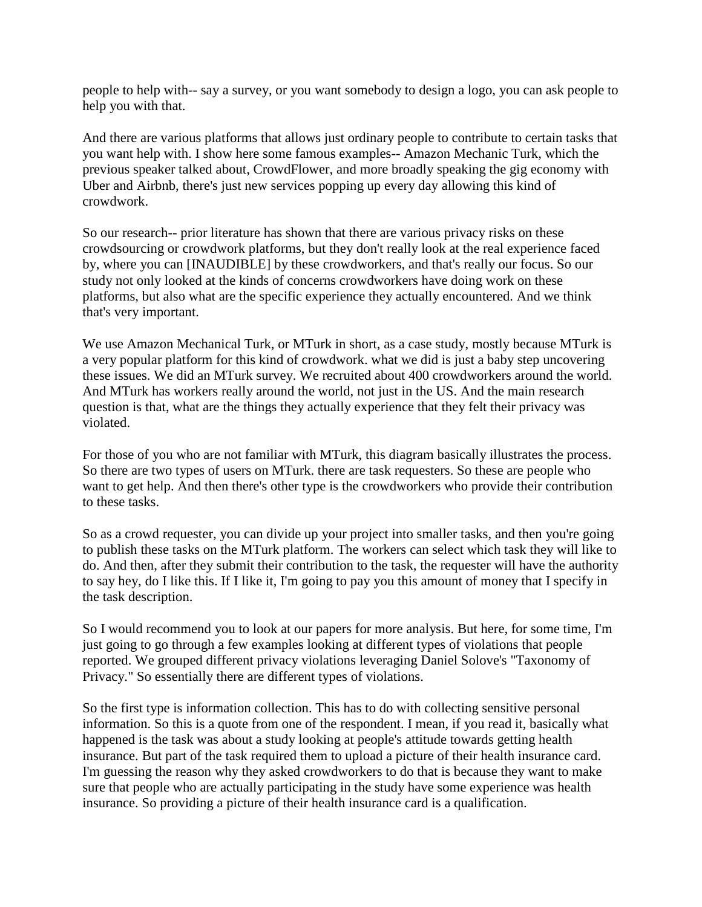people to help with-- say a survey, or you want somebody to design a logo, you can ask people to help you with that.

And there are various platforms that allows just ordinary people to contribute to certain tasks that you want help with. I show here some famous examples-- Amazon Mechanic Turk, which the previous speaker talked about, CrowdFlower, and more broadly speaking the gig economy with Uber and Airbnb, there's just new services popping up every day allowing this kind of crowdwork.

So our research-- prior literature has shown that there are various privacy risks on these crowdsourcing or crowdwork platforms, but they don't really look at the real experience faced by, where you can [INAUDIBLE] by these crowdworkers, and that's really our focus. So our study not only looked at the kinds of concerns crowdworkers have doing work on these platforms, but also what are the specific experience they actually encountered. And we think that's very important.

We use Amazon Mechanical Turk, or MTurk in short, as a case study, mostly because MTurk is a very popular platform for this kind of crowdwork. what we did is just a baby step uncovering these issues. We did an MTurk survey. We recruited about 400 crowdworkers around the world. And MTurk has workers really around the world, not just in the US. And the main research question is that, what are the things they actually experience that they felt their privacy was violated.

For those of you who are not familiar with MTurk, this diagram basically illustrates the process. So there are two types of users on MTurk. there are task requesters. So these are people who want to get help. And then there's other type is the crowdworkers who provide their contribution to these tasks.

So as a crowd requester, you can divide up your project into smaller tasks, and then you're going to publish these tasks on the MTurk platform. The workers can select which task they will like to do. And then, after they submit their contribution to the task, the requester will have the authority to say hey, do I like this. If I like it, I'm going to pay you this amount of money that I specify in the task description.

So I would recommend you to look at our papers for more analysis. But here, for some time, I'm just going to go through a few examples looking at different types of violations that people reported. We grouped different privacy violations leveraging Daniel Solove's "Taxonomy of Privacy." So essentially there are different types of violations.

So the first type is information collection. This has to do with collecting sensitive personal information. So this is a quote from one of the respondent. I mean, if you read it, basically what happened is the task was about a study looking at people's attitude towards getting health insurance. But part of the task required them to upload a picture of their health insurance card. I'm guessing the reason why they asked crowdworkers to do that is because they want to make sure that people who are actually participating in the study have some experience was health insurance. So providing a picture of their health insurance card is a qualification.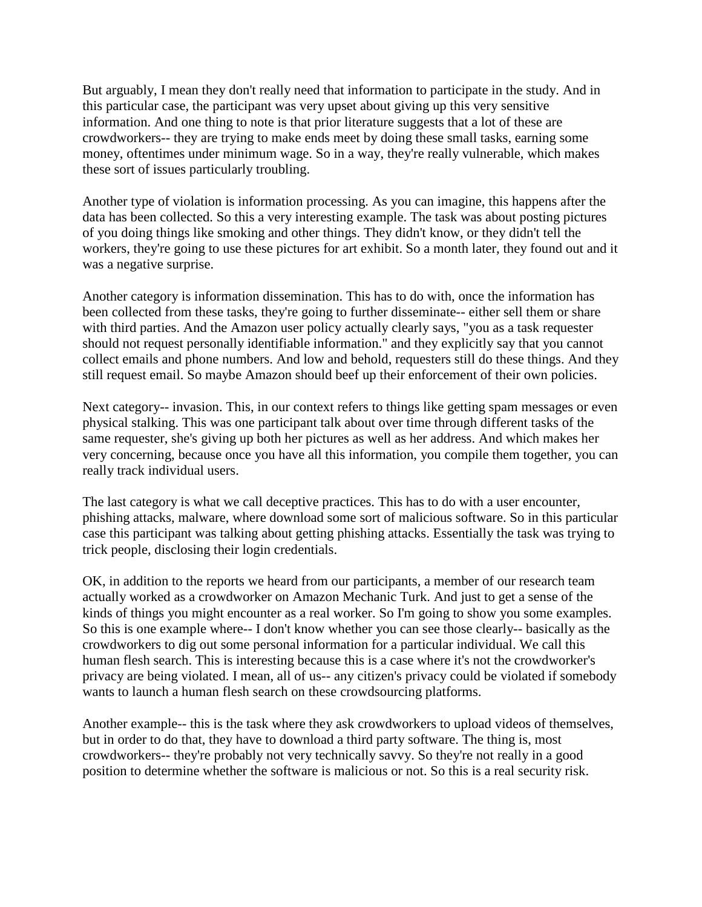But arguably, I mean they don't really need that information to participate in the study. And in this particular case, the participant was very upset about giving up this very sensitive information. And one thing to note is that prior literature suggests that a lot of these are crowdworkers-- they are trying to make ends meet by doing these small tasks, earning some money, oftentimes under minimum wage. So in a way, they're really vulnerable, which makes these sort of issues particularly troubling.

Another type of violation is information processing. As you can imagine, this happens after the data has been collected. So this a very interesting example. The task was about posting pictures of you doing things like smoking and other things. They didn't know, or they didn't tell the workers, they're going to use these pictures for art exhibit. So a month later, they found out and it was a negative surprise.

Another category is information dissemination. This has to do with, once the information has been collected from these tasks, they're going to further disseminate-- either sell them or share with third parties. And the Amazon user policy actually clearly says, "you as a task requester should not request personally identifiable information." and they explicitly say that you cannot collect emails and phone numbers. And low and behold, requesters still do these things. And they still request email. So maybe Amazon should beef up their enforcement of their own policies.

Next category-- invasion. This, in our context refers to things like getting spam messages or even physical stalking. This was one participant talk about over time through different tasks of the same requester, she's giving up both her pictures as well as her address. And which makes her very concerning, because once you have all this information, you compile them together, you can really track individual users.

The last category is what we call deceptive practices. This has to do with a user encounter, phishing attacks, malware, where download some sort of malicious software. So in this particular case this participant was talking about getting phishing attacks. Essentially the task was trying to trick people, disclosing their login credentials.

OK, in addition to the reports we heard from our participants, a member of our research team actually worked as a crowdworker on Amazon Mechanic Turk. And just to get a sense of the kinds of things you might encounter as a real worker. So I'm going to show you some examples. So this is one example where-- I don't know whether you can see those clearly-- basically as the crowdworkers to dig out some personal information for a particular individual. We call this human flesh search. This is interesting because this is a case where it's not the crowdworker's privacy are being violated. I mean, all of us-- any citizen's privacy could be violated if somebody wants to launch a human flesh search on these crowdsourcing platforms.

Another example-- this is the task where they ask crowdworkers to upload videos of themselves, but in order to do that, they have to download a third party software. The thing is, most crowdworkers-- they're probably not very technically savvy. So they're not really in a good position to determine whether the software is malicious or not. So this is a real security risk.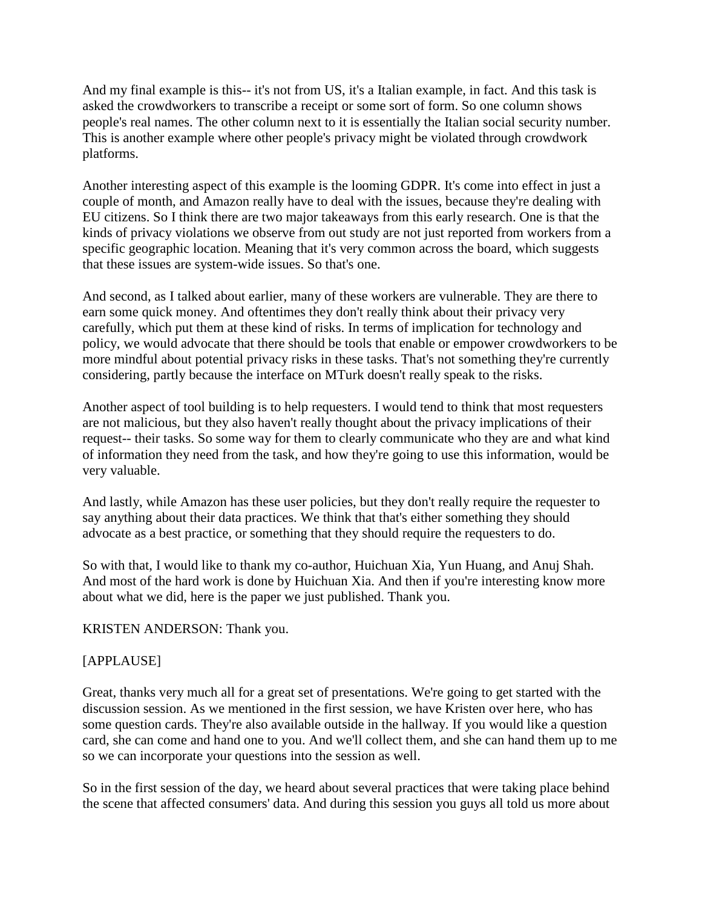And my final example is this-- it's not from US, it's a Italian example, in fact. And this task is asked the crowdworkers to transcribe a receipt or some sort of form. So one column shows people's real names. The other column next to it is essentially the Italian social security number. This is another example where other people's privacy might be violated through crowdwork platforms.

Another interesting aspect of this example is the looming GDPR. It's come into effect in just a couple of month, and Amazon really have to deal with the issues, because they're dealing with EU citizens. So I think there are two major takeaways from this early research. One is that the kinds of privacy violations we observe from out study are not just reported from workers from a specific geographic location. Meaning that it's very common across the board, which suggests that these issues are system-wide issues. So that's one.

And second, as I talked about earlier, many of these workers are vulnerable. They are there to earn some quick money. And oftentimes they don't really think about their privacy very carefully, which put them at these kind of risks. In terms of implication for technology and policy, we would advocate that there should be tools that enable or empower crowdworkers to be more mindful about potential privacy risks in these tasks. That's not something they're currently considering, partly because the interface on MTurk doesn't really speak to the risks.

Another aspect of tool building is to help requesters. I would tend to think that most requesters are not malicious, but they also haven't really thought about the privacy implications of their request-- their tasks. So some way for them to clearly communicate who they are and what kind of information they need from the task, and how they're going to use this information, would be very valuable.

And lastly, while Amazon has these user policies, but they don't really require the requester to say anything about their data practices. We think that that's either something they should advocate as a best practice, or something that they should require the requesters to do.

So with that, I would like to thank my co-author, Huichuan Xia, Yun Huang, and Anuj Shah. And most of the hard work is done by Huichuan Xia. And then if you're interesting know more about what we did, here is the paper we just published. Thank you.

KRISTEN ANDERSON: Thank you.

# [APPLAUSE]

Great, thanks very much all for a great set of presentations. We're going to get started with the discussion session. As we mentioned in the first session, we have Kristen over here, who has some question cards. They're also available outside in the hallway. If you would like a question card, she can come and hand one to you. And we'll collect them, and she can hand them up to me so we can incorporate your questions into the session as well.

So in the first session of the day, we heard about several practices that were taking place behind the scene that affected consumers' data. And during this session you guys all told us more about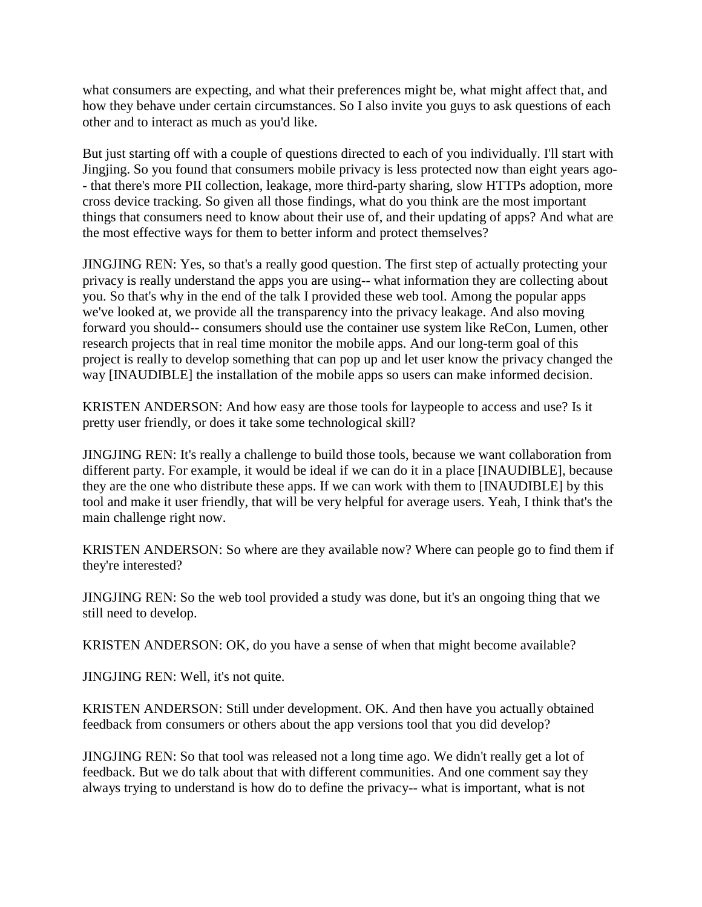what consumers are expecting, and what their preferences might be, what might affect that, and how they behave under certain circumstances. So I also invite you guys to ask questions of each other and to interact as much as you'd like.

But just starting off with a couple of questions directed to each of you individually. I'll start with Jingjing. So you found that consumers mobile privacy is less protected now than eight years ago- - that there's more PII collection, leakage, more third-party sharing, slow HTTPs adoption, more cross device tracking. So given all those findings, what do you think are the most important things that consumers need to know about their use of, and their updating of apps? And what are the most effective ways for them to better inform and protect themselves?

JINGJING REN: Yes, so that's a really good question. The first step of actually protecting your privacy is really understand the apps you are using-- what information they are collecting about you. So that's why in the end of the talk I provided these web tool. Among the popular apps we've looked at, we provide all the transparency into the privacy leakage. And also moving forward you should-- consumers should use the container use system like ReCon, Lumen, other research projects that in real time monitor the mobile apps. And our long-term goal of this project is really to develop something that can pop up and let user know the privacy changed the way [INAUDIBLE] the installation of the mobile apps so users can make informed decision.

KRISTEN ANDERSON: And how easy are those tools for laypeople to access and use? Is it pretty user friendly, or does it take some technological skill?

JINGJING REN: It's really a challenge to build those tools, because we want collaboration from different party. For example, it would be ideal if we can do it in a place [INAUDIBLE], because they are the one who distribute these apps. If we can work with them to [INAUDIBLE] by this tool and make it user friendly, that will be very helpful for average users. Yeah, I think that's the main challenge right now.

KRISTEN ANDERSON: So where are they available now? Where can people go to find them if they're interested?

JINGJING REN: So the web tool provided a study was done, but it's an ongoing thing that we still need to develop.

KRISTEN ANDERSON: OK, do you have a sense of when that might become available?

JINGJING REN: Well, it's not quite.

KRISTEN ANDERSON: Still under development. OK. And then have you actually obtained feedback from consumers or others about the app versions tool that you did develop?

JINGJING REN: So that tool was released not a long time ago. We didn't really get a lot of feedback. But we do talk about that with different communities. And one comment say they always trying to understand is how do to define the privacy-- what is important, what is not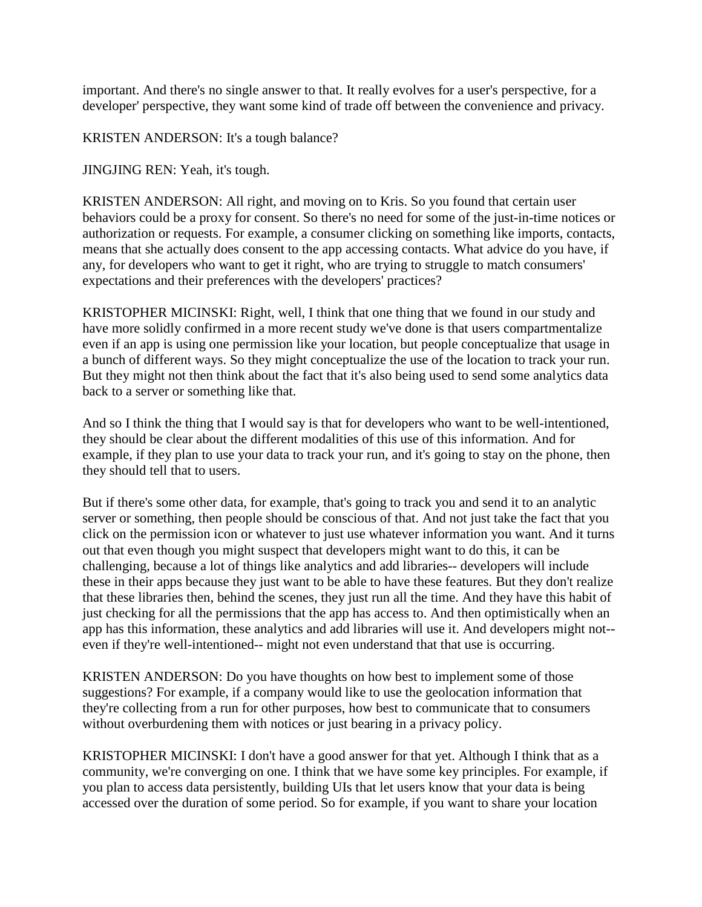important. And there's no single answer to that. It really evolves for a user's perspective, for a developer' perspective, they want some kind of trade off between the convenience and privacy.

KRISTEN ANDERSON: It's a tough balance?

JINGJING REN: Yeah, it's tough.

KRISTEN ANDERSON: All right, and moving on to Kris. So you found that certain user behaviors could be a proxy for consent. So there's no need for some of the just-in-time notices or authorization or requests. For example, a consumer clicking on something like imports, contacts, means that she actually does consent to the app accessing contacts. What advice do you have, if any, for developers who want to get it right, who are trying to struggle to match consumers' expectations and their preferences with the developers' practices?

KRISTOPHER MICINSKI: Right, well, I think that one thing that we found in our study and have more solidly confirmed in a more recent study we've done is that users compartmentalize even if an app is using one permission like your location, but people conceptualize that usage in a bunch of different ways. So they might conceptualize the use of the location to track your run. But they might not then think about the fact that it's also being used to send some analytics data back to a server or something like that.

And so I think the thing that I would say is that for developers who want to be well-intentioned, they should be clear about the different modalities of this use of this information. And for example, if they plan to use your data to track your run, and it's going to stay on the phone, then they should tell that to users.

But if there's some other data, for example, that's going to track you and send it to an analytic server or something, then people should be conscious of that. And not just take the fact that you click on the permission icon or whatever to just use whatever information you want. And it turns out that even though you might suspect that developers might want to do this, it can be challenging, because a lot of things like analytics and add libraries-- developers will include these in their apps because they just want to be able to have these features. But they don't realize that these libraries then, behind the scenes, they just run all the time. And they have this habit of just checking for all the permissions that the app has access to. And then optimistically when an app has this information, these analytics and add libraries will use it. And developers might not- even if they're well-intentioned-- might not even understand that that use is occurring.

KRISTEN ANDERSON: Do you have thoughts on how best to implement some of those suggestions? For example, if a company would like to use the geolocation information that they're collecting from a run for other purposes, how best to communicate that to consumers without overburdening them with notices or just bearing in a privacy policy.

KRISTOPHER MICINSKI: I don't have a good answer for that yet. Although I think that as a community, we're converging on one. I think that we have some key principles. For example, if you plan to access data persistently, building UIs that let users know that your data is being accessed over the duration of some period. So for example, if you want to share your location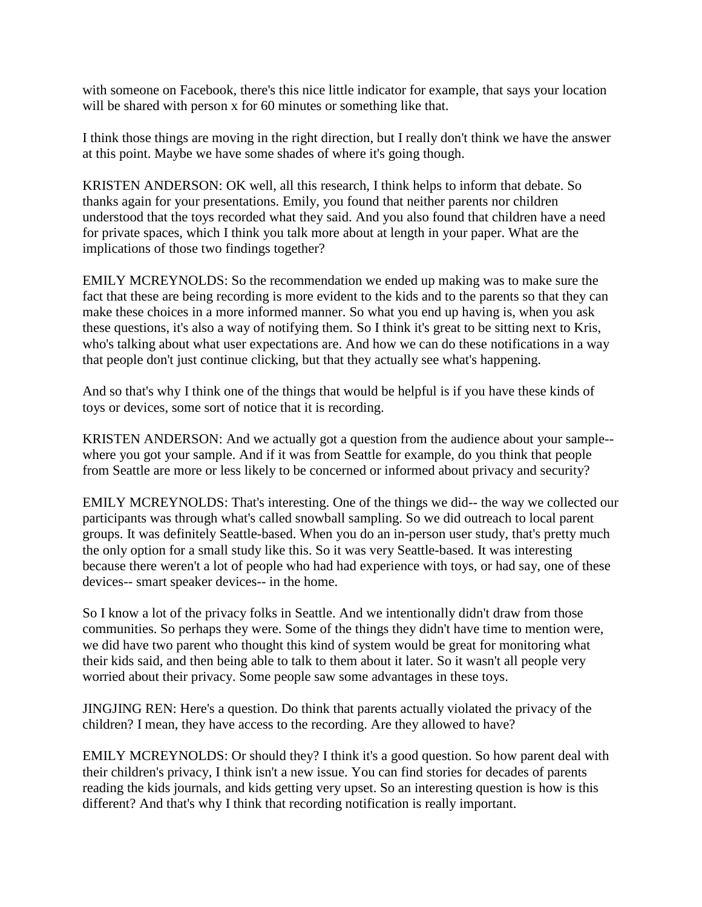with someone on Facebook, there's this nice little indicator for example, that says your location will be shared with person x for 60 minutes or something like that.

I think those things are moving in the right direction, but I really don't think we have the answer at this point. Maybe we have some shades of where it's going though.

KRISTEN ANDERSON: OK well, all this research, I think helps to inform that debate. So thanks again for your presentations. Emily, you found that neither parents nor children understood that the toys recorded what they said. And you also found that children have a need for private spaces, which I think you talk more about at length in your paper. What are the implications of those two findings together?

EMILY MCREYNOLDS: So the recommendation we ended up making was to make sure the fact that these are being recording is more evident to the kids and to the parents so that they can make these choices in a more informed manner. So what you end up having is, when you ask these questions, it's also a way of notifying them. So I think it's great to be sitting next to Kris, who's talking about what user expectations are. And how we can do these notifications in a way that people don't just continue clicking, but that they actually see what's happening.

And so that's why I think one of the things that would be helpful is if you have these kinds of toys or devices, some sort of notice that it is recording.

KRISTEN ANDERSON: And we actually got a question from the audience about your sample- where you got your sample. And if it was from Seattle for example, do you think that people from Seattle are more or less likely to be concerned or informed about privacy and security?

EMILY MCREYNOLDS: That's interesting. One of the things we did-- the way we collected our participants was through what's called snowball sampling. So we did outreach to local parent groups. It was definitely Seattle-based. When you do an in-person user study, that's pretty much the only option for a small study like this. So it was very Seattle-based. It was interesting because there weren't a lot of people who had had experience with toys, or had say, one of these devices-- smart speaker devices-- in the home.

So I know a lot of the privacy folks in Seattle. And we intentionally didn't draw from those communities. So perhaps they were. Some of the things they didn't have time to mention were, we did have two parent who thought this kind of system would be great for monitoring what their kids said, and then being able to talk to them about it later. So it wasn't all people very worried about their privacy. Some people saw some advantages in these toys.

JINGJING REN: Here's a question. Do think that parents actually violated the privacy of the children? I mean, they have access to the recording. Are they allowed to have?

EMILY MCREYNOLDS: Or should they? I think it's a good question. So how parent deal with their children's privacy, I think isn't a new issue. You can find stories for decades of parents reading the kids journals, and kids getting very upset. So an interesting question is how is this different? And that's why I think that recording notification is really important.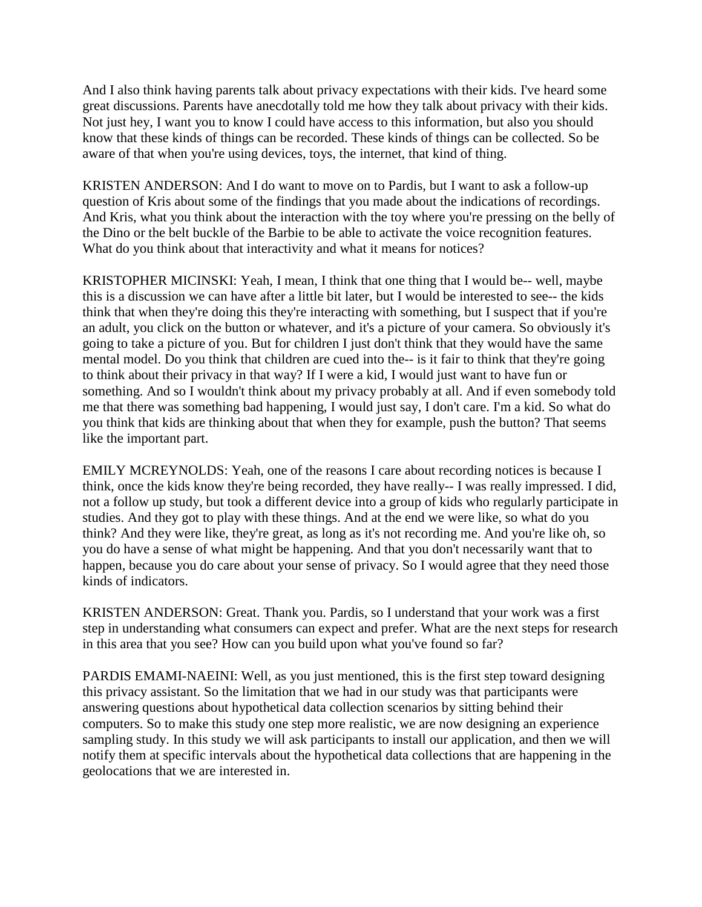And I also think having parents talk about privacy expectations with their kids. I've heard some great discussions. Parents have anecdotally told me how they talk about privacy with their kids. Not just hey, I want you to know I could have access to this information, but also you should know that these kinds of things can be recorded. These kinds of things can be collected. So be aware of that when you're using devices, toys, the internet, that kind of thing.

KRISTEN ANDERSON: And I do want to move on to Pardis, but I want to ask a follow-up question of Kris about some of the findings that you made about the indications of recordings. And Kris, what you think about the interaction with the toy where you're pressing on the belly of the Dino or the belt buckle of the Barbie to be able to activate the voice recognition features. What do you think about that interactivity and what it means for notices?

KRISTOPHER MICINSKI: Yeah, I mean, I think that one thing that I would be-- well, maybe this is a discussion we can have after a little bit later, but I would be interested to see-- the kids think that when they're doing this they're interacting with something, but I suspect that if you're an adult, you click on the button or whatever, and it's a picture of your camera. So obviously it's going to take a picture of you. But for children I just don't think that they would have the same mental model. Do you think that children are cued into the-- is it fair to think that they're going to think about their privacy in that way? If I were a kid, I would just want to have fun or something. And so I wouldn't think about my privacy probably at all. And if even somebody told me that there was something bad happening, I would just say, I don't care. I'm a kid. So what do you think that kids are thinking about that when they for example, push the button? That seems like the important part.

EMILY MCREYNOLDS: Yeah, one of the reasons I care about recording notices is because I think, once the kids know they're being recorded, they have really-- I was really impressed. I did, not a follow up study, but took a different device into a group of kids who regularly participate in studies. And they got to play with these things. And at the end we were like, so what do you think? And they were like, they're great, as long as it's not recording me. And you're like oh, so you do have a sense of what might be happening. And that you don't necessarily want that to happen, because you do care about your sense of privacy. So I would agree that they need those kinds of indicators.

KRISTEN ANDERSON: Great. Thank you. Pardis, so I understand that your work was a first step in understanding what consumers can expect and prefer. What are the next steps for research in this area that you see? How can you build upon what you've found so far?

PARDIS EMAMI-NAEINI: Well, as you just mentioned, this is the first step toward designing this privacy assistant. So the limitation that we had in our study was that participants were answering questions about hypothetical data collection scenarios by sitting behind their computers. So to make this study one step more realistic, we are now designing an experience sampling study. In this study we will ask participants to install our application, and then we will notify them at specific intervals about the hypothetical data collections that are happening in the geolocations that we are interested in.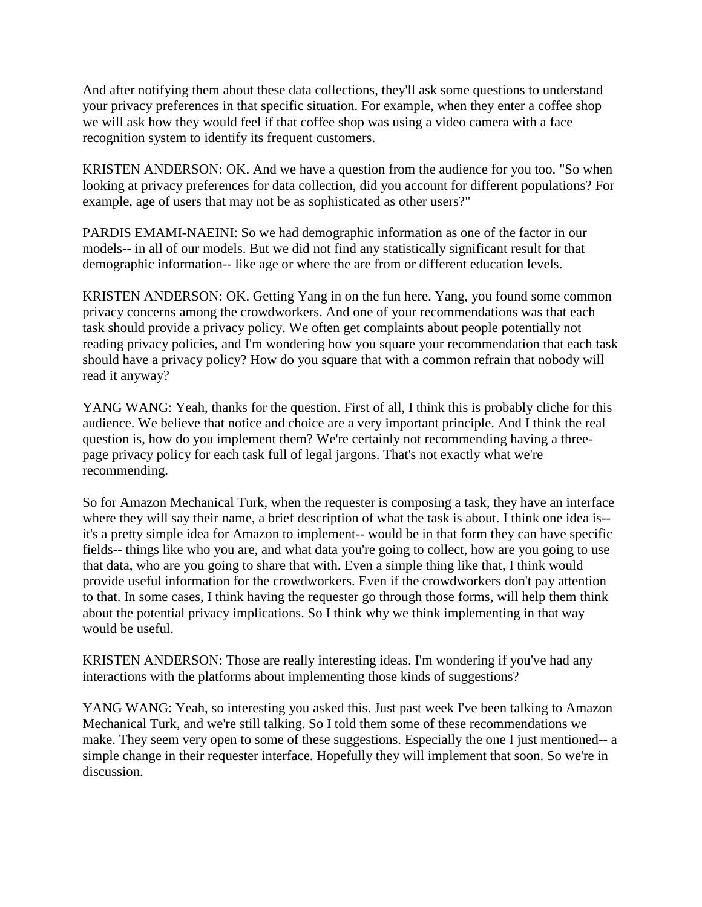And after notifying them about these data collections, they'll ask some questions to understand your privacy preferences in that specific situation. For example, when they enter a coffee shop we will ask how they would feel if that coffee shop was using a video camera with a face recognition system to identify its frequent customers.

KRISTEN ANDERSON: OK. And we have a question from the audience for you too. "So when looking at privacy preferences for data collection, did you account for different populations? For example, age of users that may not be as sophisticated as other users?"

PARDIS EMAMI-NAEINI: So we had demographic information as one of the factor in our models-- in all of our models. But we did not find any statistically significant result for that demographic information-- like age or where the are from or different education levels.

KRISTEN ANDERSON: OK. Getting Yang in on the fun here. Yang, you found some common privacy concerns among the crowdworkers. And one of your recommendations was that each task should provide a privacy policy. We often get complaints about people potentially not reading privacy policies, and I'm wondering how you square your recommendation that each task should have a privacy policy? How do you square that with a common refrain that nobody will read it anyway?

YANG WANG: Yeah, thanks for the question. First of all, I think this is probably cliche for this audience. We believe that notice and choice are a very important principle. And I think the real question is, how do you implement them? We're certainly not recommending having a threepage privacy policy for each task full of legal jargons. That's not exactly what we're recommending.

So for Amazon Mechanical Turk, when the requester is composing a task, they have an interface where they will say their name, a brief description of what the task is about. I think one idea is- it's a pretty simple idea for Amazon to implement-- would be in that form they can have specific fields-- things like who you are, and what data you're going to collect, how are you going to use that data, who are you going to share that with. Even a simple thing like that, I think would provide useful information for the crowdworkers. Even if the crowdworkers don't pay attention to that. In some cases, I think having the requester go through those forms, will help them think about the potential privacy implications. So I think why we think implementing in that way would be useful.

KRISTEN ANDERSON: Those are really interesting ideas. I'm wondering if you've had any interactions with the platforms about implementing those kinds of suggestions?

YANG WANG: Yeah, so interesting you asked this. Just past week I've been talking to Amazon Mechanical Turk, and we're still talking. So I told them some of these recommendations we make. They seem very open to some of these suggestions. Especially the one I just mentioned-- a simple change in their requester interface. Hopefully they will implement that soon. So we're in discussion.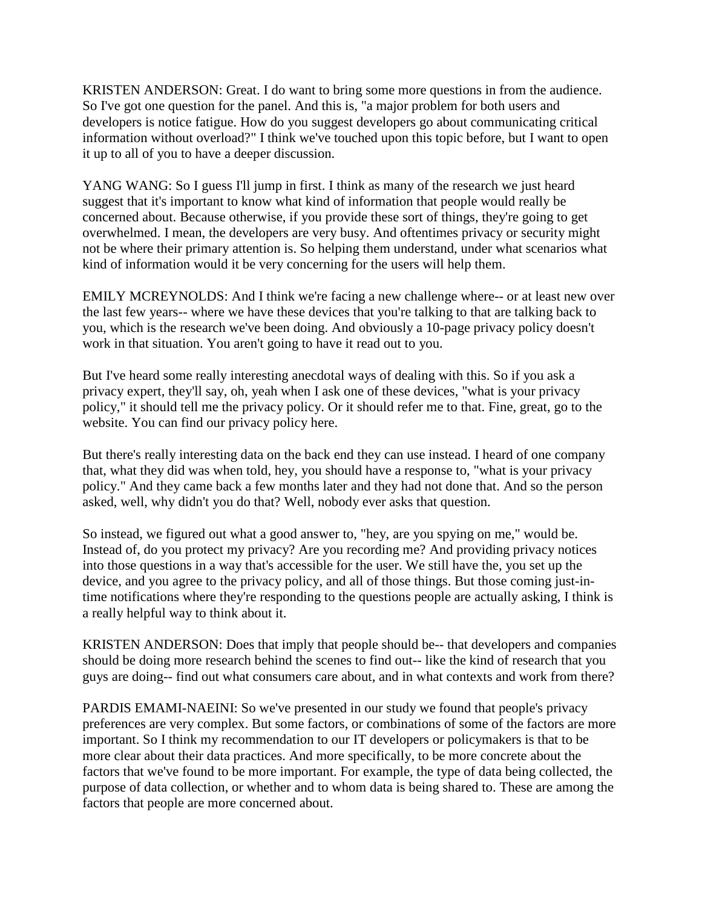KRISTEN ANDERSON: Great. I do want to bring some more questions in from the audience. So I've got one question for the panel. And this is, "a major problem for both users and developers is notice fatigue. How do you suggest developers go about communicating critical information without overload?" I think we've touched upon this topic before, but I want to open it up to all of you to have a deeper discussion.

YANG WANG: So I guess I'll jump in first. I think as many of the research we just heard suggest that it's important to know what kind of information that people would really be concerned about. Because otherwise, if you provide these sort of things, they're going to get overwhelmed. I mean, the developers are very busy. And oftentimes privacy or security might not be where their primary attention is. So helping them understand, under what scenarios what kind of information would it be very concerning for the users will help them.

EMILY MCREYNOLDS: And I think we're facing a new challenge where-- or at least new over the last few years-- where we have these devices that you're talking to that are talking back to you, which is the research we've been doing. And obviously a 10-page privacy policy doesn't work in that situation. You aren't going to have it read out to you.

But I've heard some really interesting anecdotal ways of dealing with this. So if you ask a privacy expert, they'll say, oh, yeah when I ask one of these devices, "what is your privacy policy," it should tell me the privacy policy. Or it should refer me to that. Fine, great, go to the website. You can find our privacy policy here.

But there's really interesting data on the back end they can use instead. I heard of one company that, what they did was when told, hey, you should have a response to, "what is your privacy policy." And they came back a few months later and they had not done that. And so the person asked, well, why didn't you do that? Well, nobody ever asks that question.

So instead, we figured out what a good answer to, "hey, are you spying on me," would be. Instead of, do you protect my privacy? Are you recording me? And providing privacy notices into those questions in a way that's accessible for the user. We still have the, you set up the device, and you agree to the privacy policy, and all of those things. But those coming just-intime notifications where they're responding to the questions people are actually asking, I think is a really helpful way to think about it.

KRISTEN ANDERSON: Does that imply that people should be-- that developers and companies should be doing more research behind the scenes to find out-- like the kind of research that you guys are doing-- find out what consumers care about, and in what contexts and work from there?

PARDIS EMAMI-NAEINI: So we've presented in our study we found that people's privacy preferences are very complex. But some factors, or combinations of some of the factors are more important. So I think my recommendation to our IT developers or policymakers is that to be more clear about their data practices. And more specifically, to be more concrete about the factors that we've found to be more important. For example, the type of data being collected, the purpose of data collection, or whether and to whom data is being shared to. These are among the factors that people are more concerned about.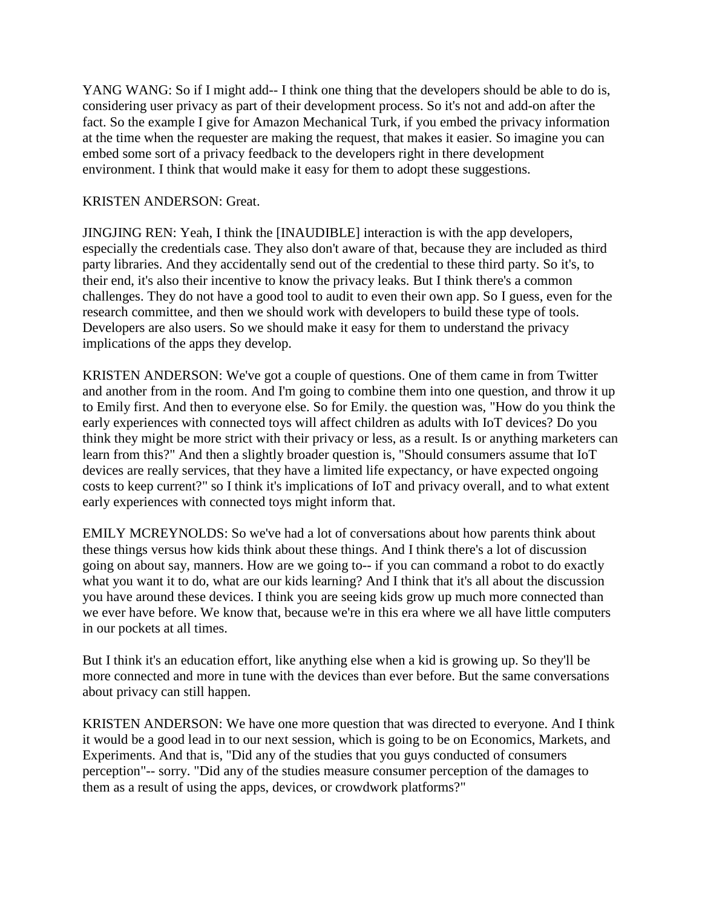YANG WANG: So if I might add-- I think one thing that the developers should be able to do is, considering user privacy as part of their development process. So it's not and add-on after the fact. So the example I give for Amazon Mechanical Turk, if you embed the privacy information at the time when the requester are making the request, that makes it easier. So imagine you can embed some sort of a privacy feedback to the developers right in there development environment. I think that would make it easy for them to adopt these suggestions.

### KRISTEN ANDERSON: Great.

JINGJING REN: Yeah, I think the [INAUDIBLE] interaction is with the app developers, especially the credentials case. They also don't aware of that, because they are included as third party libraries. And they accidentally send out of the credential to these third party. So it's, to their end, it's also their incentive to know the privacy leaks. But I think there's a common challenges. They do not have a good tool to audit to even their own app. So I guess, even for the research committee, and then we should work with developers to build these type of tools. Developers are also users. So we should make it easy for them to understand the privacy implications of the apps they develop.

KRISTEN ANDERSON: We've got a couple of questions. One of them came in from Twitter and another from in the room. And I'm going to combine them into one question, and throw it up to Emily first. And then to everyone else. So for Emily. the question was, "How do you think the early experiences with connected toys will affect children as adults with IoT devices? Do you think they might be more strict with their privacy or less, as a result. Is or anything marketers can learn from this?" And then a slightly broader question is, "Should consumers assume that IoT devices are really services, that they have a limited life expectancy, or have expected ongoing costs to keep current?" so I think it's implications of IoT and privacy overall, and to what extent early experiences with connected toys might inform that.

EMILY MCREYNOLDS: So we've had a lot of conversations about how parents think about these things versus how kids think about these things. And I think there's a lot of discussion going on about say, manners. How are we going to-- if you can command a robot to do exactly what you want it to do, what are our kids learning? And I think that it's all about the discussion you have around these devices. I think you are seeing kids grow up much more connected than we ever have before. We know that, because we're in this era where we all have little computers in our pockets at all times.

But I think it's an education effort, like anything else when a kid is growing up. So they'll be more connected and more in tune with the devices than ever before. But the same conversations about privacy can still happen.

KRISTEN ANDERSON: We have one more question that was directed to everyone. And I think it would be a good lead in to our next session, which is going to be on Economics, Markets, and Experiments. And that is, "Did any of the studies that you guys conducted of consumers perception"-- sorry. "Did any of the studies measure consumer perception of the damages to them as a result of using the apps, devices, or crowdwork platforms?"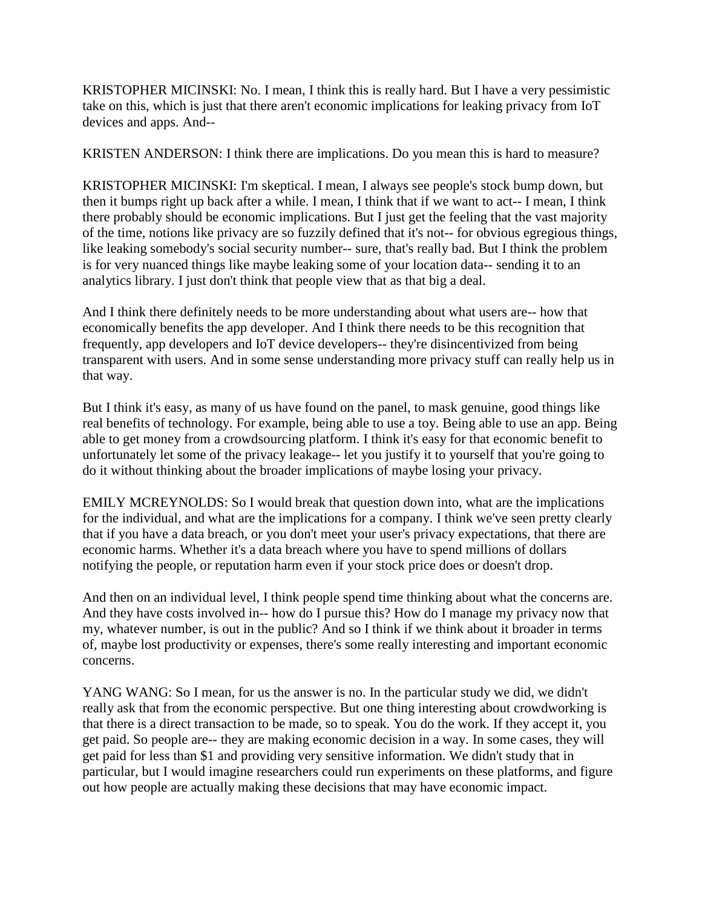KRISTOPHER MICINSKI: No. I mean, I think this is really hard. But I have a very pessimistic take on this, which is just that there aren't economic implications for leaking privacy from IoT devices and apps. And--

KRISTEN ANDERSON: I think there are implications. Do you mean this is hard to measure?

KRISTOPHER MICINSKI: I'm skeptical. I mean, I always see people's stock bump down, but then it bumps right up back after a while. I mean, I think that if we want to act-- I mean, I think there probably should be economic implications. But I just get the feeling that the vast majority of the time, notions like privacy are so fuzzily defined that it's not-- for obvious egregious things, like leaking somebody's social security number-- sure, that's really bad. But I think the problem is for very nuanced things like maybe leaking some of your location data-- sending it to an analytics library. I just don't think that people view that as that big a deal.

And I think there definitely needs to be more understanding about what users are-- how that economically benefits the app developer. And I think there needs to be this recognition that frequently, app developers and IoT device developers-- they're disincentivized from being transparent with users. And in some sense understanding more privacy stuff can really help us in that way.

But I think it's easy, as many of us have found on the panel, to mask genuine, good things like real benefits of technology. For example, being able to use a toy. Being able to use an app. Being able to get money from a crowdsourcing platform. I think it's easy for that economic benefit to unfortunately let some of the privacy leakage-- let you justify it to yourself that you're going to do it without thinking about the broader implications of maybe losing your privacy.

EMILY MCREYNOLDS: So I would break that question down into, what are the implications for the individual, and what are the implications for a company. I think we've seen pretty clearly that if you have a data breach, or you don't meet your user's privacy expectations, that there are economic harms. Whether it's a data breach where you have to spend millions of dollars notifying the people, or reputation harm even if your stock price does or doesn't drop.

And then on an individual level, I think people spend time thinking about what the concerns are. And they have costs involved in-- how do I pursue this? How do I manage my privacy now that my, whatever number, is out in the public? And so I think if we think about it broader in terms of, maybe lost productivity or expenses, there's some really interesting and important economic concerns.

YANG WANG: So I mean, for us the answer is no. In the particular study we did, we didn't really ask that from the economic perspective. But one thing interesting about crowdworking is that there is a direct transaction to be made, so to speak. You do the work. If they accept it, you get paid. So people are-- they are making economic decision in a way. In some cases, they will get paid for less than \$1 and providing very sensitive information. We didn't study that in particular, but I would imagine researchers could run experiments on these platforms, and figure out how people are actually making these decisions that may have economic impact.